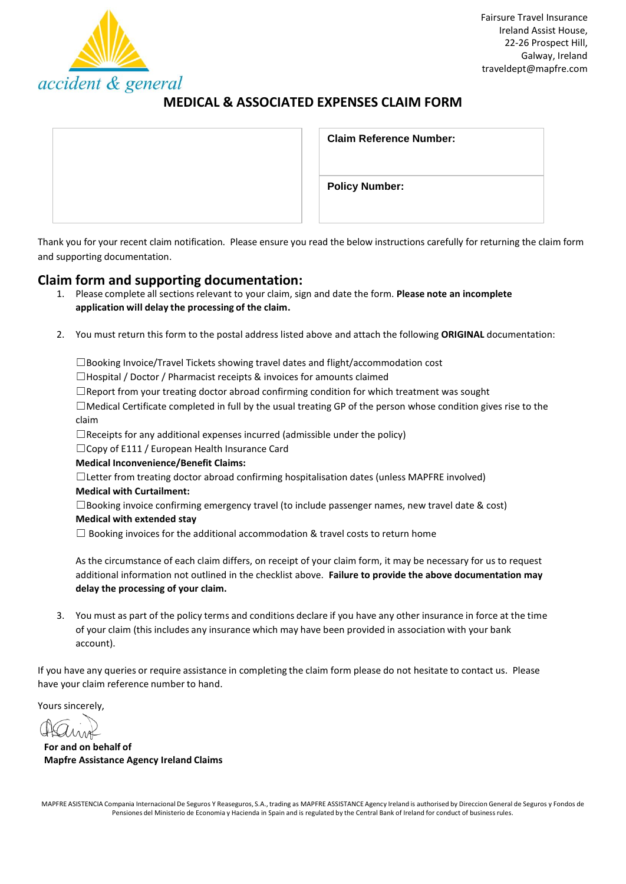

# **MEDICAL & ASSOCIATED EXPENSES CLAIM FORM**

| <b>Claim Reference Number:</b> |
|--------------------------------|
| <b>Policy Number:</b>          |

Thank you for your recent claim notification. Please ensure you read the below instructions carefully for returning the claim form and supporting documentation.

# **Claim form and supporting documentation:**

- 1. Please complete all sectionsrelevant to your claim, sign and date the form. **Please note an incomplete application will delay the processing of the claim.**
- 2. You must return this form to the postal address listed above and attach the following **ORIGINAL** documentation:

☐Booking Invoice/Travel Tickets showing travel dates and flight/accommodation cost

 $\Box$ Hospital / Doctor / Pharmacist receipts & invoices for amounts claimed

 $\Box$ Report from your treating doctor abroad confirming condition for which treatment was sought

☐Medical Certificate completed in full by the usual treating GP of the person whose condition gives rise to the claim

 $\Box$ Receipts for any additional expenses incurred (admissible under the policy)

☐Copy of E111 / European Health Insurance Card

#### **Medical Inconvenience/Benefit Claims:**

☐Letter from treating doctor abroad confirming hospitalisation dates (unless MAPFRE involved)

# **Medical with Curtailment:**

 $\square$ Booking invoice confirming emergency travel (to include passenger names, new travel date & cost)

#### **Medical with extended stay**

 $\Box$  Booking invoices for the additional accommodation & travel costs to return home

As the circumstance of each claim differs, on receipt of your claim form, it may be necessary for us to request additional information not outlined in the checklist above. **Failure to provide the above documentation may delay the processing of your claim.**

3. You must as part of the policy terms and conditions declare if you have any other insurance in force at the time of your claim (this includes any insurance which may have been provided in association with your bank account).

If you have any queries or require assistance in completing the claim form please do not hesitate to contact us. Please have your claim reference number to hand.

Yours sincerely,

**For and on behalf of Mapfre Assistance Agency Ireland Claims**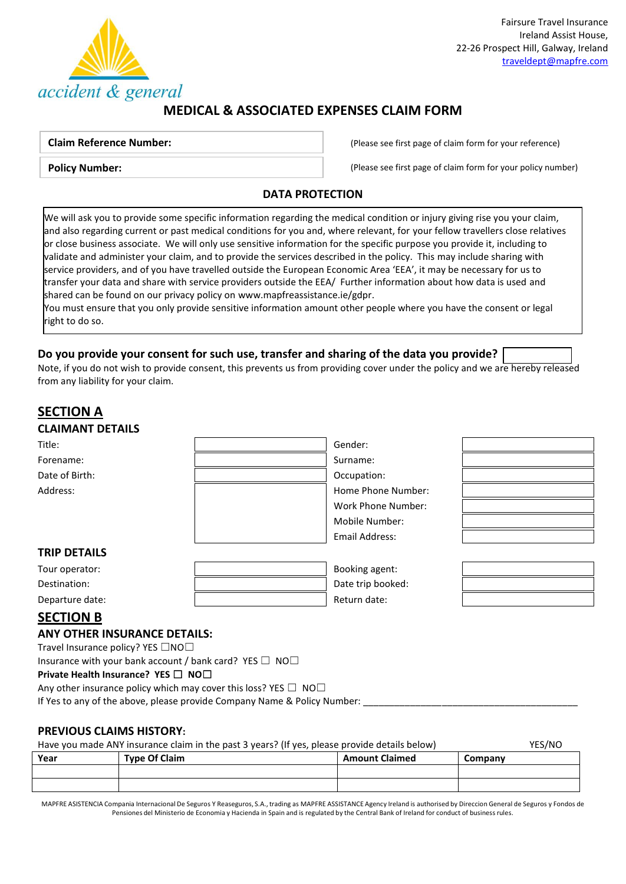

# **MEDICAL & ASSOCIATED EXPENSES CLAIM FORM**

## **Claim Reference Number:**

**Policy Number:**

(Please see first page of claim form for your reference)

(Please see first page of claim form for your policy number)

## **DATA PROTECTION**

We will ask you to provide some specific information regarding the medical condition or injury giving rise you your claim, and also regarding current or past medical conditions for you and, where relevant, for your fellow travellers close relatives or close business associate. We will only use sensitive information for the specific purpose you provide it, including to validate and administer your claim, and to provide the services described in the policy. This may include sharing with service providers, and of you have travelled outside the European Economic Area 'EEA', it may be necessary for us to transfer your data and share with service providers outside the EEA/ Further information about how data is used and shared can be found on our privacy policy o[n www.mapfreassistance.ie/gdpr.](http://www.mapfreassistance.ie/gdpr)

You must ensure that you only provide sensitive information amount other people where you have the consent or legal right to do so.

## **Do you provide your consent for such use, transfer and sharing of the data you provide?**

Note, if you do not wish to provide consent, this prevents us from providing cover under the policy and we are hereby released from any liability for your claim.

| <b>SECTION A</b>                              |                    |
|-----------------------------------------------|--------------------|
| <b>CLAIMANT DETAILS</b>                       |                    |
| Title:                                        | Gender:            |
| Forename:                                     | Surname:           |
| Date of Birth:                                | Occupation:        |
| Address:                                      | Home Phone Number: |
|                                               | Work Phone Number: |
|                                               | Mobile Number:     |
|                                               | Email Address:     |
| <b>TRIP DETAILS</b>                           |                    |
| Tour operator:                                | Booking agent:     |
| Destination:                                  | Date trip booked:  |
| Departure date:                               | Return date:       |
| <b>SECTION B</b>                              |                    |
| <b>ANY OTHER INSURANCE DETAILS:</b>           |                    |
| Travel Insurance nolicy? YFS $\Box$ NO $\Box$ |                    |

Travel Insurance policy? YES  $\Box$ NO $\Box$ Insurance with your bank account / bank card? YES  $\Box$  NO $\Box$ 

**Private Health Insurance? YES** ☐ **NO**☐

Any other insurance policy which may cover this loss? YES  $\Box$  NO $\Box$ 

If Yes to any of the above, please provide Company Name & Policy Number:

## **PREVIOUS CLAIMS HISTORY:**

| Have you made ANY insurance claim in the past 3 years? (If yes, please provide details below) |                      |                       | YES/NO  |
|-----------------------------------------------------------------------------------------------|----------------------|-----------------------|---------|
| Year                                                                                          | <b>Type Of Claim</b> | <b>Amount Claimed</b> | Company |
|                                                                                               |                      |                       |         |
|                                                                                               |                      |                       |         |

MAPFRE ASISTENCIA Compania Internacional De Seguros Y Reaseguros, S.A., trading as MAPFRE ASSISTANCE Agency Ireland is authorised by Direccion General de Seguros y Fondos de Pensiones del Ministerio de Economia y Hacienda in Spain and is regulated by the Central Bank of Ireland for conduct of business rules.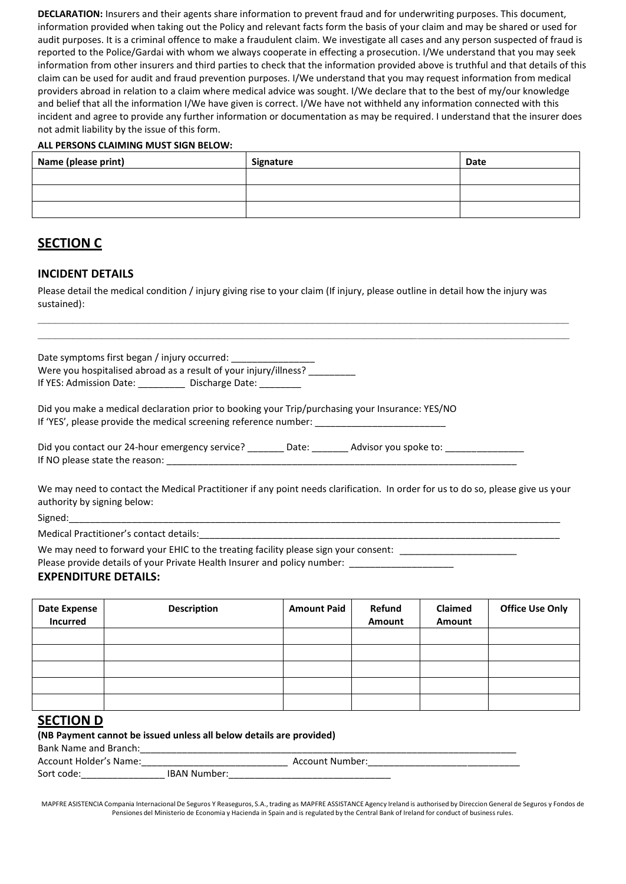**DECLARATION:** Insurers and their agents share information to prevent fraud and for underwriting purposes. This document, information provided when taking out the Policy and relevant facts form the basis of your claim and may be shared or used for audit purposes. It is a criminal offence to make a fraudulent claim. We investigate all cases and any person suspected of fraud is reported to the Police/Gardai with whom we always cooperate in effecting a prosecution. I/We understand that you may seek information from other insurers and third parties to check that the information provided above is truthful and that details of this claim can be used for audit and fraud prevention purposes. I/We understand that you may request information from medical providers abroad in relation to a claim where medical advice was sought. I/We declare that to the best of my/our knowledge and belief that all the information I/We have given is correct. I/We have not withheld any information connected with this incident and agree to provide any further information or documentation as may be required. I understand that the insurer does not admit liability by the issue of this form.

#### **ALL PERSONS CLAIMING MUST SIGN BELOW:**

| Name (please print) | Signature | Date |
|---------------------|-----------|------|
|                     |           |      |
|                     |           |      |
|                     |           |      |

# **SECTION C**

### **INCIDENT DETAILS**

Please detail the medical condition / injury giving rise to your claim (If injury, please outline in detail how the injury was sustained):

**\_\_\_\_\_\_\_\_\_\_\_\_\_\_\_\_\_\_\_\_\_\_\_\_\_\_\_\_\_\_\_\_\_\_\_\_\_\_\_\_\_\_\_\_\_\_\_\_\_\_\_\_\_\_\_\_\_\_\_\_\_\_\_\_\_\_\_\_\_\_\_\_\_\_\_\_\_\_\_\_\_\_\_\_\_\_\_\_\_\_\_ \_\_\_\_\_\_\_\_\_\_\_\_\_\_\_\_\_\_\_\_\_\_\_\_\_\_\_\_\_\_\_\_\_\_\_\_\_\_\_\_\_\_\_\_\_\_\_\_\_\_\_\_\_\_\_\_\_\_\_\_\_\_\_\_\_\_\_\_\_\_\_\_\_\_\_\_\_\_\_\_\_\_\_\_\_\_\_\_\_\_\_**

Date symptoms first began / injury occurred: Were you hospitalised abroad as a result of your injury/illness? If YES: Admission Date: \_\_\_\_\_\_\_\_\_\_\_ Discharge Date: \_\_\_\_\_\_

Did you make a medical declaration prior to booking your Trip/purchasing your Insurance: YES/NO If 'YES', please provide the medical screening reference number: \_\_\_\_\_\_\_\_\_\_\_\_\_\_\_

| Did you contact our 24-hour emergency service? | Date: | Advisor you spoke to: |  |
|------------------------------------------------|-------|-----------------------|--|
| If NO please state the reason:                 |       |                       |  |

We may need to contact the Medical Practitioner if any point needs clarification. In order for us to do so, please give us your authority by signing below:

Signed:\_\_\_\_\_\_\_\_\_\_\_\_\_\_\_\_\_\_\_\_\_\_\_\_\_\_\_\_\_\_\_\_\_\_\_\_\_\_\_\_\_\_\_\_\_\_\_\_\_\_\_\_\_\_\_\_\_\_\_\_\_\_\_\_\_\_\_\_\_\_\_\_\_\_\_\_\_\_\_\_\_\_\_\_\_\_\_\_\_\_\_\_\_\_

Medical Practitioner's contact details:

We may need to forward your EHIC to the treating facility please sign your consent: \_\_\_\_\_\_\_\_\_\_\_\_\_\_\_

Please provide details of your Private Health Insurer and policy number: \_\_\_\_\_\_\_

### **EXPENDITURE DETAILS:**

| <b>Date Expense</b><br><b>Incurred</b> | <b>Description</b> | <b>Amount Paid</b> | Refund<br>Amount | Claimed<br>Amount | <b>Office Use Only</b> |
|----------------------------------------|--------------------|--------------------|------------------|-------------------|------------------------|
|                                        |                    |                    |                  |                   |                        |
|                                        |                    |                    |                  |                   |                        |
|                                        |                    |                    |                  |                   |                        |
|                                        |                    |                    |                  |                   |                        |
|                                        |                    |                    |                  |                   |                        |

## **SECTION D**

| (NB Payment cannot be issued unless all below details are provided) |                     |                 |  |
|---------------------------------------------------------------------|---------------------|-----------------|--|
| Bank Name and Branch:                                               |                     |                 |  |
| <b>Account Holder's Name:</b>                                       |                     | Account Number: |  |
| Sort code:                                                          | <b>IBAN Number:</b> |                 |  |

MAPFRE ASISTENCIA Compania Internacional De Seguros Y Reaseguros, S.A., trading as MAPFRE ASSISTANCE Agency Ireland is authorised by Direccion General de Seguros y Fondos de Pensiones del Ministerio de Economia y Hacienda in Spain and is regulated by the Central Bank of Ireland for conduct of business rules.